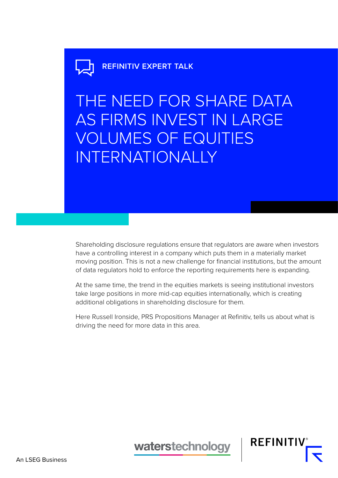# **REFINITIV EXPERT TALK**

THE NEED FOR SHARE DATA AS FIRMS INVEST IN LARGE VOLUMES OF EQUITIES INTERNATIONALLY

Shareholding disclosure regulations ensure that regulators are aware when investors have a controlling interest in a company which puts them in a materially market moving position. This is not a new challenge for financial institutions, but the amount of data regulators hold to enforce the reporting requirements here is expanding.

At the same time, the trend in the equities markets is seeing institutional investors take large positions in more mid-cap equities internationally, which is creating additional obligations in shareholding disclosure for them.

Here Russell Ironside, PRS Propositions Manager at Refinitiv, tells us about what is driving the need for more data in this area.

waterstechnology

**REFINITIV**